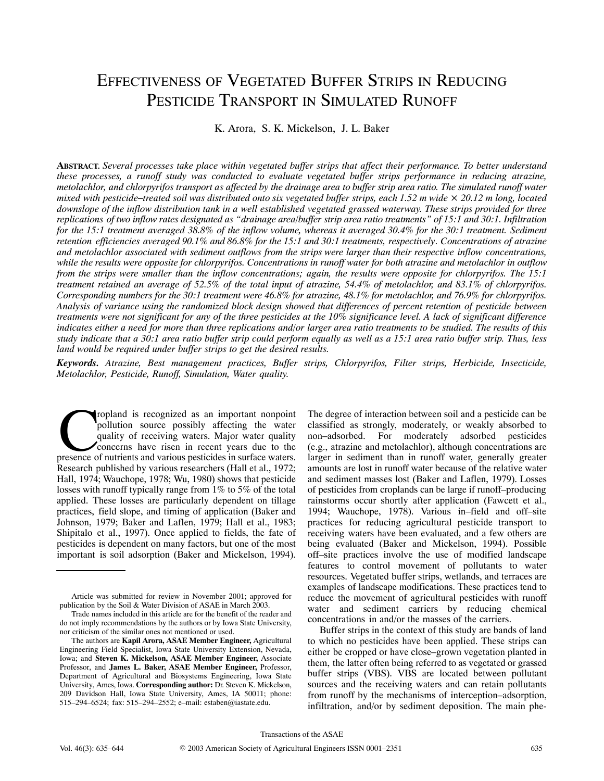# EFFECTIVENESS OF VEGETATED BUFFER STRIPS IN REDUCING PESTICIDE TRANSPORT IN SIMULATED RUNOFF

K. Arora, S. K. Mickelson, J. L. Baker

**ABSTRACT.** *Several processes take place within vegetated buffer strips that affect their performance. To better understand these processes, a runoff study was conducted to evaluate vegetated buffer strips performance in reducing atrazine, metolachlor, and chlorpyrifos transport as affected by the drainage area to buffer strip area ratio. The simulated runoff water mixed with pesticide–treated soil was distributed onto six vegetated buffer strips, each 1.52 m wide*  $\times$  20.12 m long, located *downslope of the inflow distribution tank in a well established vegetated grassed waterway. These strips provided for three replications of two inflow rates designated as "drainage area/buffer strip area ratio treatments" of 15:1 and 30:1. Infiltration for the 15:1 treatment averaged 38.8% of the inflow volume, whereas it averaged 30.4% for the 30:1 treatment. Sediment retention efficiencies averaged 90.1% and 86.8% for the 15:1 and 30:1 treatments, respectively. Concentrations of atrazine and metolachlor associated with sediment outflows from the strips were larger than their respective inflow concentrations, while the results were opposite for chlorpyrifos. Concentrations in runoff water for both atrazine and metolachlor in outflow from the strips were smaller than the inflow concentrations; again, the results were opposite for chlorpyrifos. The 15:1 treatment retained an average of 52.5% of the total input of atrazine, 54.4% of metolachlor, and 83.1% of chlorpyrifos. Corresponding numbers for the 30:1 treatment were 46.8% for atrazine, 48.1% for metolachlor, and 76.9% for chlorpyrifos. Analysis of variance using the randomized block design showed that differences of percent retention of pesticide between treatments were not significant for any of the three pesticides at the 10% significance level. A lack of significant difference indicates either a need for more than three replications and/or larger area ratio treatments to be studied. The results of this study indicate that a 30:1 area ratio buffer strip could perform equally as well as a 15:1 area ratio buffer strip. Thus, less land would be required under buffer strips to get the desired results.*

*Keywords. Atrazine, Best management practices, Buffer strips, Chlorpyrifos, Filter strips, Herbicide, Insecticide, Metolachlor, Pesticide, Runoff, Simulation, Water quality.*

ropland is recognized as an important nonpoint pollution source possibly affecting the water quality of receiving waters. Major water quality concerns have risen in recent years due to the propland is recognized as an important nonpoint<br>pollution source possibly affecting the water<br>quality of receiving waters. Major water quality<br>concerns have risen in recent years due to the<br>presence of nutrients and variou Research published by various researchers (Hall et al., 1972; Hall, 1974; Wauchope, 1978; Wu, 1980) shows that pesticide losses with runoff typically range from 1% to 5% of the total applied. These losses are particularly dependent on tillage practices, field slope, and timing of application (Baker and Johnson, 1979; Baker and Laflen, 1979; Hall et al., 1983; Shipitalo et al., 1997). Once applied to fields, the fate of pesticides is dependent on many factors, but one of the most important is soil adsorption (Baker and Mickelson, 1994).

The degree of interaction between soil and a pesticide can be classified as strongly, moderately, or weakly absorbed to non–adsorbed. For moderately adsorbed pesticides (e.g., atrazine and metolachlor), although concentrations are larger in sediment than in runoff water, generally greater amounts are lost in runoff water because of the relative water and sediment masses lost (Baker and Laflen, 1979). Losses of pesticides from croplands can be large if runoff–producing rainstorms occur shortly after application (Fawcett et al., 1994; Wauchope, 1978). Various in–field and off–site practices for reducing agricultural pesticide transport to receiving waters have been evaluated, and a few others are being evaluated (Baker and Mickelson, 1994). Possible off–site practices involve the use of modified landscape features to control movement of pollutants to water resources. Vegetated buffer strips, wetlands, and terraces are examples of landscape modifications. These practices tend to reduce the movement of agricultural pesticides with runoff water and sediment carriers by reducing chemical concentrations in and/or the masses of the carriers.

Buffer strips in the context of this study are bands of land to which no pesticides have been applied. These strips can either be cropped or have close–grown vegetation planted in them, the latter often being referred to as vegetated or grassed buffer strips (VBS). VBS are located between pollutant sources and the receiving waters and can retain pollutants from runoff by the mechanisms of interception–adsorption, infiltration, and/or by sediment deposition. The main phe-

Transactions of the ASAE

Article was submitted for review in November 2001; approved for publication by the Soil & Water Division of ASAE in March 2003.

Trade names included in this article are for the benefit of the reader and do not imply recommendations by the authors or by Iowa State University, nor criticism of the similar ones not mentioned or used.

The authors are **Kapil Arora, ASAE Member Engineer,** Agricultural Engineering Field Specialist, Iowa State University Extension, Nevada, Iowa; and **Steven K. Mickelson, ASAE Member Engineer,** Associate Professor, and **James L. Baker, ASAE Member Engineer,** Professor, Department of Agricultural and Biosystems Engineering, Iowa State University, Ames, Iowa. **Corresponding author:** Dr. Steven K. Mickelson, 209 Davidson Hall, Iowa State University, Ames, IA 50011; phone: 515–294–6524; fax: 515–294–2552; e–mail: estaben@iastate.edu.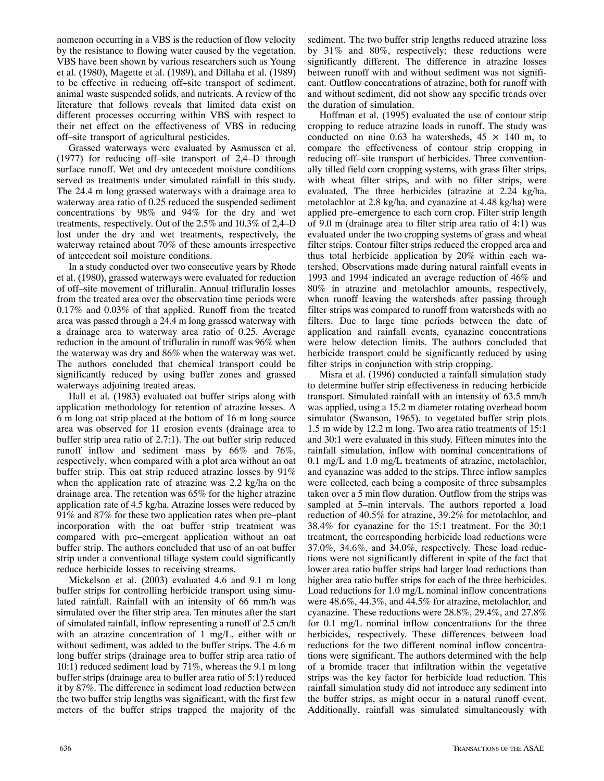nomenon occurring in a VBS is the reduction of flow velocity by the resistance to flowing water caused by the vegetation. VBS have been shown by various researchers such as Young et al. (1980), Magette et al. (1989), and Dillaha et al. (1989) to be effective in reducing off–site transport of sediment, animal waste suspended solids, and nutrients. A review of the literature that follows reveals that limited data exist on different processes occurring within VBS with respect to their net effect on the effectiveness of VBS in reducing off–site transport of agricultural pesticides.

Grassed waterways were evaluated by Asmussen et al. (1977) for reducing off–site transport of 2,4–D through surface runoff. Wet and dry antecedent moisture conditions served as treatments under simulated rainfall in this study. The 24.4 m long grassed waterways with a drainage area to waterway area ratio of 0.25 reduced the suspended sediment concentrations by 98% and 94% for the dry and wet treatments, respectively. Out of the 2.5% and 10.3% of 2,4–D lost under the dry and wet treatments, respectively, the waterway retained about 70% of these amounts irrespective of antecedent soil moisture conditions.

In a study conducted over two consecutive years by Rhode et al. (1980), grassed waterways were evaluated for reduction of off–site movement of trifluralin. Annual trifluralin losses from the treated area over the observation time periods were 0.17% and 0.03% of that applied. Runoff from the treated area was passed through a 24.4 m long grassed waterway with a drainage area to waterway area ratio of 0.25. Average reduction in the amount of trifluralin in runoff was 96% when the waterway was dry and 86% when the waterway was wet. The authors concluded that chemical transport could be significantly reduced by using buffer zones and grassed waterways adjoining treated areas.

Hall et al. (1983) evaluated oat buffer strips along with application methodology for retention of atrazine losses. A 6 m long oat strip placed at the bottom of 16 m long source area was observed for 11 erosion events (drainage area to buffer strip area ratio of 2.7:1). The oat buffer strip reduced runoff inflow and sediment mass by 66% and 76%, respectively, when compared with a plot area without an oat buffer strip. This oat strip reduced atrazine losses by 91% when the application rate of atrazine was 2.2 kg/ha on the drainage area. The retention was 65% for the higher atrazine application rate of 4.5 kg/ha. Atrazine losses were reduced by 91% and 87% for these two application rates when pre–plant incorporation with the oat buffer strip treatment was compared with pre–emergent application without an oat buffer strip. The authors concluded that use of an oat buffer strip under a conventional tillage system could significantly reduce herbicide losses to receiving streams.

Mickelson et al. (2003) evaluated 4.6 and 9.1 m long buffer strips for controlling herbicide transport using simulated rainfall. Rainfall with an intensity of 66 mm/h was simulated over the filter strip area. Ten minutes after the start of simulated rainfall, inflow representing a runoff of 2.5 cm/h with an atrazine concentration of 1 mg/L, either with or without sediment, was added to the buffer strips. The 4.6 m long buffer strips (drainage area to buffer strip area ratio of 10:1) reduced sediment load by 71%, whereas the 9.1 m long buffer strips (drainage area to buffer area ratio of 5:1) reduced it by 87%. The difference in sediment load reduction between the two buffer strip lengths was significant, with the first few meters of the buffer strips trapped the majority of the

sediment. The two buffer strip lengths reduced atrazine loss by 31% and 80%, respectively; these reductions were significantly different. The difference in atrazine losses between runoff with and without sediment was not significant. Outflow concentrations of atrazine, both for runoff with and without sediment, did not show any specific trends over the duration of simulation.

Hoffman et al. (1995) evaluated the use of contour strip cropping to reduce atrazine loads in runoff. The study was conducted on nine 0.63 ha watersheds,  $45 \times 140$  m, to compare the effectiveness of contour strip cropping in reducing off–site transport of herbicides. Three conventionally tilled field corn cropping systems, with grass filter strips, with wheat filter strips, and with no filter strips, were evaluated. The three herbicides (atrazine at 2.24 kg/ha, metolachlor at 2.8 kg/ha, and cyanazine at 4.48 kg/ha) were applied pre–emergence to each corn crop. Filter strip length of 9.0 m (drainage area to filter strip area ratio of 4:1) was evaluated under the two cropping systems of grass and wheat filter strips. Contour filter strips reduced the cropped area and thus total herbicide application by 20% within each watershed. Observations made during natural rainfall events in 1993 and 1994 indicated an average reduction of 46% and 80% in atrazine and metolachlor amounts, respectively, when runoff leaving the watersheds after passing through filter strips was compared to runoff from watersheds with no filters. Due to large time periods between the date of application and rainfall events, cyanazine concentrations were below detection limits. The authors concluded that herbicide transport could be significantly reduced by using filter strips in conjunction with strip cropping.

Misra et al. (1996) conducted a rainfall simulation study to determine buffer strip effectiveness in reducing herbicide transport. Simulated rainfall with an intensity of 63.5 mm/h was applied, using a 15.2 m diameter rotating overhead boom simulator (Swanson, 1965), to vegetated buffer strip plots 1.5 m wide by 12.2 m long. Two area ratio treatments of 15:1 and 30:1 were evaluated in this study. Fifteen minutes into the rainfall simulation, inflow with nominal concentrations of 0.1 mg/L and 1.0 mg/L treatments of atrazine, metolachlor, and cyanazine was added to the strips. Three inflow samples were collected, each being a composite of three subsamples taken over a 5 min flow duration. Outflow from the strips was sampled at 5–min intervals. The authors reported a load reduction of 40.5% for atrazine, 39.2% for metolachlor, and 38.4% for cyanazine for the 15:1 treatment. For the 30:1 treatment, the corresponding herbicide load reductions were 37.0%, 34.6%, and 34.0%, respectively. These load reductions were not significantly different in spite of the fact that lower area ratio buffer strips had larger load reductions than higher area ratio buffer strips for each of the three herbicides. Load reductions for 1.0 mg/L nominal inflow concentrations were 48.6%, 44.3%, and 44.5% for atrazine, metolachlor, and cyanazine. These reductions were 28.8%, 29.4%, and 27.8% for 0.1 mg/L nominal inflow concentrations for the three herbicides, respectively. These differences between load reductions for the two different nominal inflow concentrations were significant. The authors determined with the help of a bromide tracer that infiltration within the vegetative strips was the key factor for herbicide load reduction. This rainfall simulation study did not introduce any sediment into the buffer strips, as might occur in a natural runoff event. Additionally, rainfall was simulated simultaneously with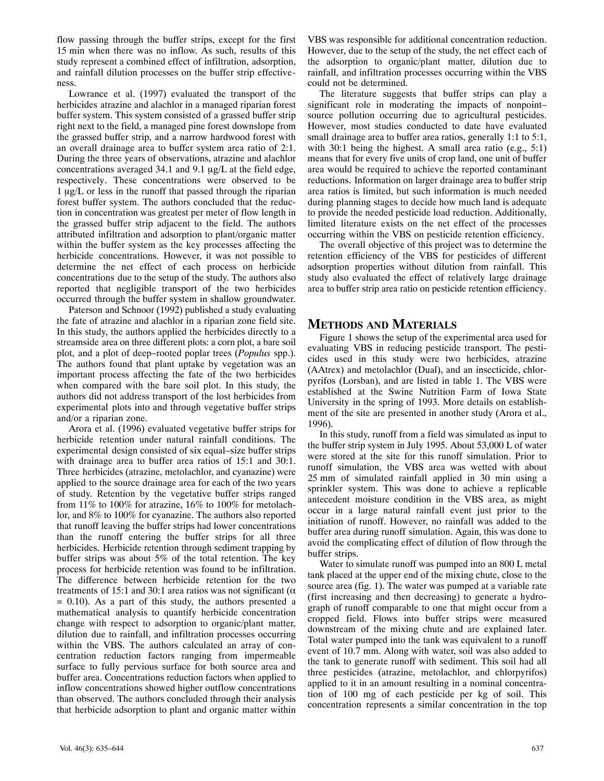flow passing through the buffer strips, except for the first 15 min when there was no inflow. As such, results of this study represent a combined effect of infiltration, adsorption, and rainfall dilution processes on the buffer strip effectiveness.

Lowrance et al. (1997) evaluated the transport of the herbicides atrazine and alachlor in a managed riparian forest buffer system. This system consisted of a grassed buffer strip right next to the field, a managed pine forest downslope from the grassed buffer strip, and a narrow hardwood forest with an overall drainage area to buffer system area ratio of 2:1. During the three years of observations, atrazine and alachlor concentrations averaged 34.1 and 9.1  $\mu$ g/L at the field edge, respectively. These concentrations were observed to be  $1 \mu g/L$  or less in the runoff that passed through the riparian forest buffer system. The authors concluded that the reduction in concentration was greatest per meter of flow length in the grassed buffer strip adjacent to the field. The authors attributed infiltration and adsorption to plant/organic matter within the buffer system as the key processes affecting the herbicide concentrations. However, it was not possible to determine the net effect of each process on herbicide concentrations due to the setup of the study. The authors also reported that negligible transport of the two herbicides occurred through the buffer system in shallow groundwater.

Paterson and Schnoor (1992) published a study evaluating the fate of atrazine and alachlor in a riparian zone field site. In this study, the authors applied the herbicides directly to a streamside area on three different plots: a corn plot, a bare soil plot, and a plot of deep–rooted poplar trees (*Populus* spp.). The authors found that plant uptake by vegetation was an important process affecting the fate of the two herbicides when compared with the bare soil plot. In this study, the authors did not address transport of the lost herbicides from experimental plots into and through vegetative buffer strips and/or a riparian zone.

Arora et al. (1996) evaluated vegetative buffer strips for herbicide retention under natural rainfall conditions. The experimental design consisted of six equal–size buffer strips with drainage area to buffer area ratios of 15:1 and 30:1. Three herbicides (atrazine, metolachlor, and cyanazine) were applied to the source drainage area for each of the two years of study. Retention by the vegetative buffer strips ranged from 11% to 100% for atrazine, 16% to 100% for metolachlor, and 8% to 100% for cyanazine. The authors also reported that runoff leaving the buffer strips had lower concentrations than the runoff entering the buffer strips for all three herbicides. Herbicide retention through sediment trapping by buffer strips was about 5% of the total retention. The key process for herbicide retention was found to be infiltration. The difference between herbicide retention for the two treatments of 15:1 and 30:1 area ratios was not significant ( $\alpha$ = 0.10). As a part of this study, the authors presented a mathematical analysis to quantify herbicide concentration change with respect to adsorption to organic/plant matter, dilution due to rainfall, and infiltration processes occurring within the VBS. The authors calculated an array of concentration reduction factors ranging from impermeable surface to fully pervious surface for both source area and buffer area. Concentrations reduction factors when applied to inflow concentrations showed higher outflow concentrations than observed. The authors concluded through their analysis that herbicide adsorption to plant and organic matter within

VBS was responsible for additional concentration reduction. However, due to the setup of the study, the net effect each of the adsorption to organic/plant matter, dilution due to rainfall, and infiltration processes occurring within the VBS could not be determined.

The literature suggests that buffer strips can play a significant role in moderating the impacts of nonpoint– source pollution occurring due to agricultural pesticides. However, most studies conducted to date have evaluated small drainage area to buffer area ratios, generally 1:1 to 5:1, with 30:1 being the highest. A small area ratio (e.g., 5:1) means that for every five units of crop land, one unit of buffer area would be required to achieve the reported contaminant reductions. Information on larger drainage area to buffer strip area ratios is limited, but such information is much needed during planning stages to decide how much land is adequate to provide the needed pesticide load reduction. Additionally, limited literature exists on the net effect of the processes occurring within the VBS on pesticide retention efficiency.

The overall objective of this project was to determine the retention efficiency of the VBS for pesticides of different adsorption properties without dilution from rainfall. This study also evaluated the effect of relatively large drainage area to buffer strip area ratio on pesticide retention efficiency.

# **METHODS AND MATERIALS**

Figure 1 shows the setup of the experimental area used for evaluating VBS in reducing pesticide transport. The pesticides used in this study were two herbicides, atrazine (AAtrex) and metolachlor (Dual), and an insecticide, chlorpyrifos (Lorsban), and are listed in table 1. The VBS were established at the Swine Nutrition Farm of Iowa State University in the spring of 1993. More details on establishment of the site are presented in another study (Arora et al., 1996).

In this study, runoff from a field was simulated as input to the buffer strip system in July 1995. About 53,000 L of water were stored at the site for this runoff simulation. Prior to runoff simulation, the VBS area was wetted with about 25 mm of simulated rainfall applied in 30 min using a sprinkler system. This was done to achieve a replicable antecedent moisture condition in the VBS area, as might occur in a large natural rainfall event just prior to the initiation of runoff. However, no rainfall was added to the buffer area during runoff simulation. Again, this was done to avoid the complicating effect of dilution of flow through the buffer strips.

Water to simulate runoff was pumped into an 800 L metal tank placed at the upper end of the mixing chute, close to the source area (fig. 1). The water was pumped at a variable rate (first increasing and then decreasing) to generate a hydrograph of runoff comparable to one that might occur from a cropped field. Flows into buffer strips were measured downstream of the mixing chute and are explained later. Total water pumped into the tank was equivalent to a runoff event of 10.7 mm. Along with water, soil was also added to the tank to generate runoff with sediment. This soil had all three pesticides (atrazine, metolachlor, and chlorpyrifos) applied to it in an amount resulting in a nominal concentration of 100 mg of each pesticide per kg of soil. This concentration represents a similar concentration in the top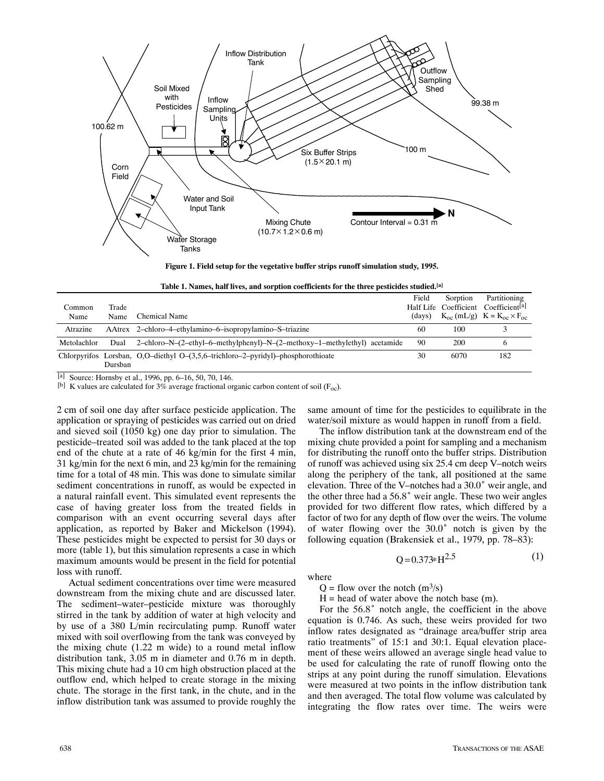

**Figure 1. Field setup for the vegetative buffer strips runoff simulation study, 1995.**

|  |  | Table 1. Names, half lives, and sorption coefficients for the three pesticides studied, [a] |
|--|--|---------------------------------------------------------------------------------------------|
|  |  |                                                                                             |

|             |         |                                                                                   | Field  | Sorption | Partitioning                                           |
|-------------|---------|-----------------------------------------------------------------------------------|--------|----------|--------------------------------------------------------|
| Common      | Trade   |                                                                                   |        |          | Half Life Coefficient Coefficient <sup>[a]</sup>       |
| Name        | Name    | Chemical Name                                                                     | (days) |          | $K_{\rm oc}$ (mL/g) $K = K_{\rm oc} \times F_{\rm oc}$ |
| Atrazine    |         | AAtrex 2-chloro-4-ethylamino-6-isopropylamino-S-triazine                          | 60     | 100      |                                                        |
| Metolachlor | Dual    | 2-chloro-N- $(2$ -ethyl-6-methylphenyl)-N- $(2$ -methoxy-1-methylethyl) acetamide | 90     | 200      |                                                        |
|             | Dursban | Chlorpyrifos Lorsban, O,O-diethyl O-(3,5,6-trichloro-2-pyridyl)-phosphorothioate  | 30     | 6070     | 182                                                    |
|             |         |                                                                                   |        |          |                                                        |

[a] Source: Hornsby et al., 1996, pp. 6–16, 50, 70, 146.

[b] K values are calculated for 3% average fractional organic carbon content of soil ( $F_{\text{o}c}$ ).

2 cm of soil one day after surface pesticide application. The application or spraying of pesticides was carried out on dried and sieved soil (1050 kg) one day prior to simulation. The pesticide–treated soil was added to the tank placed at the top end of the chute at a rate of 46 kg/min for the first 4 min, 31 kg/min for the next 6 min, and 23 kg/min for the remaining time for a total of 48 min. This was done to simulate similar sediment concentrations in runoff, as would be expected in a natural rainfall event. This simulated event represents the case of having greater loss from the treated fields in comparison with an event occurring several days after application, as reported by Baker and Mickelson (1994). These pesticides might be expected to persist for 30 days or more (table 1), but this simulation represents a case in which maximum amounts would be present in the field for potential loss with runoff.

Actual sediment concentrations over time were measured downstream from the mixing chute and are discussed later. The sediment–water–pesticide mixture was thoroughly stirred in the tank by addition of water at high velocity and by use of a 380 L/min recirculating pump. Runoff water mixed with soil overflowing from the tank was conveyed by the mixing chute (1.22 m wide) to a round metal inflow distribution tank, 3.05 m in diameter and 0.76 m in depth. This mixing chute had a 10 cm high obstruction placed at the outflow end, which helped to create storage in the mixing chute. The storage in the first tank, in the chute, and in the inflow distribution tank was assumed to provide roughly the

same amount of time for the pesticides to equilibrate in the water/soil mixture as would happen in runoff from a field.

The inflow distribution tank at the downstream end of the mixing chute provided a point for sampling and a mechanism for distributing the runoff onto the buffer strips. Distribution of runoff was achieved using six 25.4 cm deep V–notch weirs along the periphery of the tank, all positioned at the same elevation. Three of the V–notches had a 30.0° weir angle, and the other three had a  $56.8^{\circ}$  weir angle. These two weir angles provided for two different flow rates, which differed by a factor of two for any depth of flow over the weirs. The volume of water flowing over the 30.0° notch is given by the following equation (Brakensiek et al., 1979, pp. 78–83):

$$
Q = 0.373 \times H^{2.5} \tag{1}
$$

where

 $Q =$  flow over the notch  $(m^3/s)$ 

 $H =$  head of water above the notch base  $(m)$ .

For the  $56.8^{\circ}$  notch angle, the coefficient in the above equation is 0.746. As such, these weirs provided for two inflow rates designated as "drainage area/buffer strip area ratio treatments" of 15:1 and 30:1. Equal elevation placement of these weirs allowed an average single head value to be used for calculating the rate of runoff flowing onto the strips at any point during the runoff simulation. Elevations were measured at two points in the inflow distribution tank and then averaged. The total flow volume was calculated by integrating the flow rates over time. The weirs were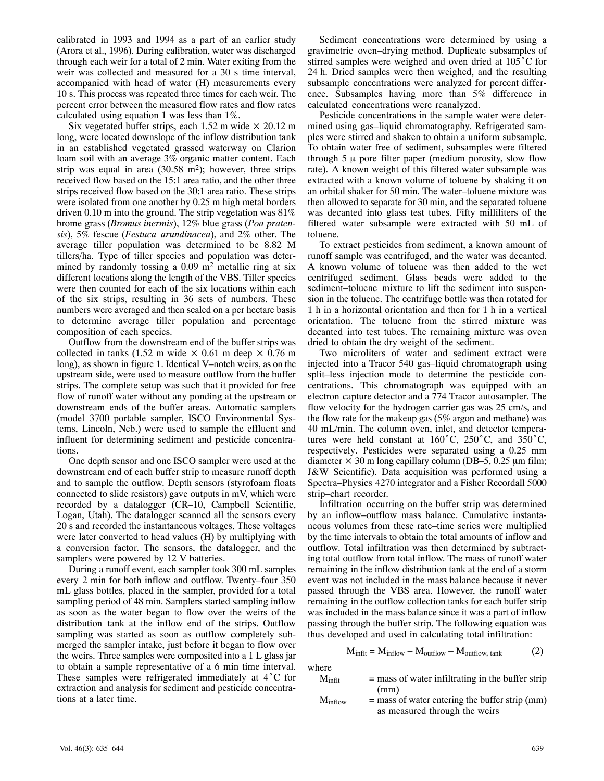calibrated in 1993 and 1994 as a part of an earlier study (Arora et al., 1996). During calibration, water was discharged through each weir for a total of 2 min. Water exiting from the weir was collected and measured for a 30 s time interval, accompanied with head of water (H) measurements every 10 s. This process was repeated three times for each weir. The percent error between the measured flow rates and flow rates calculated using equation 1 was less than 1%.

Six vegetated buffer strips, each 1.52 m wide  $\times$  20.12 m long, were located downslope of the inflow distribution tank in an established vegetated grassed waterway on Clarion loam soil with an average 3% organic matter content. Each strip was equal in area  $(30.58 \text{ m}^2)$ ; however, three strips received flow based on the 15:1 area ratio, and the other three strips received flow based on the 30:1 area ratio. These strips were isolated from one another by 0.25 m high metal borders driven 0.10 m into the ground. The strip vegetation was 81% brome grass (*Bromus inermis*), 12% blue grass (*Poa pratensis*), 5% fescue (*Festuca arundinacea*), and 2% other. The average tiller population was determined to be 8.82 M tillers/ha. Type of tiller species and population was determined by randomly tossing a  $0.09$  m<sup>2</sup> metallic ring at six different locations along the length of the VBS. Tiller species were then counted for each of the six locations within each of the six strips, resulting in 36 sets of numbers. These numbers were averaged and then scaled on a per hectare basis to determine average tiller population and percentage composition of each species.

Outflow from the downstream end of the buffer strips was collected in tanks (1.52 m wide  $\times$  0.61 m deep  $\times$  0.76 m long), as shown in figure 1. Identical V–notch weirs, as on the upstream side, were used to measure outflow from the buffer strips. The complete setup was such that it provided for free flow of runoff water without any ponding at the upstream or downstream ends of the buffer areas. Automatic samplers (model 3700 portable sampler, ISCO Environmental Systems, Lincoln, Neb.) were used to sample the effluent and influent for determining sediment and pesticide concentrations.

One depth sensor and one ISCO sampler were used at the downstream end of each buffer strip to measure runoff depth and to sample the outflow. Depth sensors (styrofoam floats connected to slide resistors) gave outputs in mV, which were recorded by a datalogger (CR–10, Campbell Scientific, Logan, Utah). The datalogger scanned all the sensors every 20 s and recorded the instantaneous voltages. These voltages were later converted to head values (H) by multiplying with a conversion factor. The sensors, the datalogger, and the samplers were powered by 12 V batteries.

During a runoff event, each sampler took 300 mL samples every 2 min for both inflow and outflow. Twenty–four 350 mL glass bottles, placed in the sampler, provided for a total sampling period of 48 min. Samplers started sampling inflow as soon as the water began to flow over the weirs of the distribution tank at the inflow end of the strips. Outflow sampling was started as soon as outflow completely submerged the sampler intake, just before it began to flow over the weirs. Three samples were composited into a 1 L glass jar to obtain a sample representative of a 6 min time interval. These samples were refrigerated immediately at 4°C for extraction and analysis for sediment and pesticide concentrations at a later time.

Sediment concentrations were determined by using a gravimetric oven–drying method. Duplicate subsamples of stirred samples were weighed and oven dried at  $105^{\circ}$ C for 24 h. Dried samples were then weighed, and the resulting subsample concentrations were analyzed for percent difference. Subsamples having more than 5% difference in calculated concentrations were reanalyzed.

Pesticide concentrations in the sample water were determined using gas–liquid chromatography. Refrigerated samples were stirred and shaken to obtain a uniform subsample. To obtain water free of sediment, subsamples were filtered through  $5 \mu$  pore filter paper (medium porosity, slow flow rate). A known weight of this filtered water subsample was extracted with a known volume of toluene by shaking it on an orbital shaker for 50 min. The water–toluene mixture was then allowed to separate for 30 min, and the separated toluene was decanted into glass test tubes. Fifty milliliters of the filtered water subsample were extracted with 50 mL of toluene.

To extract pesticides from sediment, a known amount of runoff sample was centrifuged, and the water was decanted. A known volume of toluene was then added to the wet centrifuged sediment. Glass beads were added to the sediment–toluene mixture to lift the sediment into suspension in the toluene. The centrifuge bottle was then rotated for 1 h in a horizontal orientation and then for 1 h in a vertical orientation. The toluene from the stirred mixture was decanted into test tubes. The remaining mixture was oven dried to obtain the dry weight of the sediment.

Two microliters of water and sediment extract were injected into a Tracor 540 gas–liquid chromatograph using split–less injection mode to determine the pesticide concentrations. This chromatograph was equipped with an electron capture detector and a 774 Tracor autosampler. The flow velocity for the hydrogen carrier gas was 25 cm/s, and the flow rate for the makeup gas (5% argon and methane) was 40 mL/min. The column oven, inlet, and detector temperatures were held constant at  $160^{\circ}$ C, 250<sup>°</sup>C, and 350<sup>°</sup>C, respectively. Pesticides were separated using a 0.25 mm diameter  $\times$  30 m long capillary column (DB–5, 0.25 µm film; J&W Scientific). Data acquisition was performed using a Spectra–Physics 4270 integrator and a Fisher Recordall 5000 strip–chart recorder.

Infiltration occurring on the buffer strip was determined by an inflow–outflow mass balance. Cumulative instantaneous volumes from these rate–time series were multiplied by the time intervals to obtain the total amounts of inflow and outflow. Total infiltration was then determined by subtracting total outflow from total inflow. The mass of runoff water remaining in the inflow distribution tank at the end of a storm event was not included in the mass balance because it never passed through the VBS area. However, the runoff water remaining in the outflow collection tanks for each buffer strip was included in the mass balance since it was a part of inflow passing through the buffer strip. The following equation was thus developed and used in calculating total infiltration:

$$
M_{inflt} = M_{inflow} - M_{outflow} - M_{outflow, tank}
$$
 (2)

where

| 171 V           |                                                    |
|-----------------|----------------------------------------------------|
| $M_{\rm inflt}$ | $=$ mass of water infiltrating in the buffer strip |
|                 | (mm)                                               |
| $M_{\odot}$     | $=$ mass of water entering the buffer strip $(mm)$ |

 $M_{\text{inflow}}$  = mass of water entering the buffer strip (mm) as measured through the weirs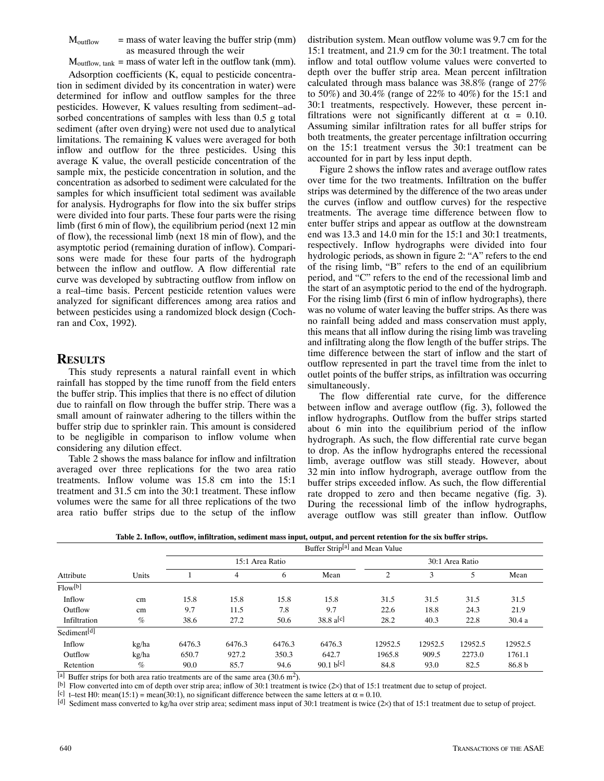$M_{\text{outflow}}$  = mass of water leaving the buffer strip (mm) as measured through the weir

 $M_{\text{outflow, tank}}$  = mass of water left in the outflow tank (mm).

Adsorption coefficients (K, equal to pesticide concentration in sediment divided by its concentration in water) were determined for inflow and outflow samples for the three pesticides. However, K values resulting from sediment–adsorbed concentrations of samples with less than 0.5 g total sediment (after oven drying) were not used due to analytical limitations. The remaining K values were averaged for both inflow and outflow for the three pesticides. Using this average K value, the overall pesticide concentration of the sample mix, the pesticide concentration in solution, and the concentration as adsorbed to sediment were calculated for the samples for which insufficient total sediment was available for analysis. Hydrographs for flow into the six buffer strips were divided into four parts. These four parts were the rising limb (first 6 min of flow), the equilibrium period (next 12 min of flow), the recessional limb (next 18 min of flow), and the asymptotic period (remaining duration of inflow). Comparisons were made for these four parts of the hydrograph between the inflow and outflow. A flow differential rate curve was developed by subtracting outflow from inflow on a real–time basis. Percent pesticide retention values were analyzed for significant differences among area ratios and between pesticides using a randomized block design (Cochran and Cox, 1992).

#### **RESULTS**

This study represents a natural rainfall event in which rainfall has stopped by the time runoff from the field enters the buffer strip. This implies that there is no effect of dilution due to rainfall on flow through the buffer strip. There was a small amount of rainwater adhering to the tillers within the buffer strip due to sprinkler rain. This amount is considered to be negligible in comparison to inflow volume when considering any dilution effect.

Table 2 shows the mass balance for inflow and infiltration averaged over three replications for the two area ratio treatments. Inflow volume was 15.8 cm into the 15:1 treatment and 31.5 cm into the 30:1 treatment. These inflow volumes were the same for all three replications of the two area ratio buffer strips due to the setup of the inflow

distribution system. Mean outflow volume was 9.7 cm for the 15:1 treatment, and 21.9 cm for the 30:1 treatment. The total inflow and total outflow volume values were converted to depth over the buffer strip area. Mean percent infiltration calculated through mass balance was 38.8% (range of 27% to 50%) and 30.4% (range of 22% to 40%) for the 15:1 and 30:1 treatments, respectively. However, these percent infiltrations were not significantly different at  $\alpha = 0.10$ . Assuming similar infiltration rates for all buffer strips for both treatments, the greater percentage infiltration occurring on the 15:1 treatment versus the 30:1 treatment can be accounted for in part by less input depth.

Figure 2 shows the inflow rates and average outflow rates over time for the two treatments. Infiltration on the buffer strips was determined by the difference of the two areas under the curves (inflow and outflow curves) for the respective treatments. The average time difference between flow to enter buffer strips and appear as outflow at the downstream end was 13.3 and 14.0 min for the 15:1 and 30:1 treatments, respectively. Inflow hydrographs were divided into four hydrologic periods, as shown in figure 2: "A" refers to the end of the rising limb, "B" refers to the end of an equilibrium period, and "C" refers to the end of the recessional limb and the start of an asymptotic period to the end of the hydrograph. For the rising limb (first 6 min of inflow hydrographs), there was no volume of water leaving the buffer strips. As there was no rainfall being added and mass conservation must apply, this means that all inflow during the rising limb was traveling and infiltrating along the flow length of the buffer strips. The time difference between the start of inflow and the start of outflow represented in part the travel time from the inlet to outlet points of the buffer strips, as infiltration was occurring simultaneously.

The flow differential rate curve, for the difference between inflow and average outflow (fig. 3), followed the inflow hydrographs. Outflow from the buffer strips started about 6 min into the equilibrium period of the inflow hydrograph. As such, the flow differential rate curve began to drop. As the inflow hydrographs entered the recessional limb, average outflow was still steady. However, about 32 min into inflow hydrograph, average outflow from the buffer strips exceeded inflow. As such, the flow differential rate dropped to zero and then became negative (fig. 3). During the recessional limb of the inflow hydrographs, average outflow was still greater than inflow. Outflow

| Attribute               | Units | Buffer Strip <sup>[a]</sup> and Mean Value |        |        |                        |                 |         |         |         |
|-------------------------|-------|--------------------------------------------|--------|--------|------------------------|-----------------|---------|---------|---------|
|                         |       | 15:1 Area Ratio                            |        |        |                        | 30:1 Area Ratio |         |         |         |
|                         |       |                                            | 4      | 6      | Mean                   | 2               | 3       | 5       | Mean    |
| Flow[ <sub>b</sub> ]    |       |                                            |        |        |                        |                 |         |         |         |
| Inflow                  | cm    | 15.8                                       | 15.8   | 15.8   | 15.8                   | 31.5            | 31.5    | 31.5    | 31.5    |
| Outflow                 | cm    | 9.7                                        | 11.5   | 7.8    | 9.7                    | 22.6            | 18.8    | 24.3    | 21.9    |
| Infiltration            | $\%$  | 38.6                                       | 27.2   | 50.6   | $38.8 \text{ a}^{[c]}$ | 28.2            | 40.3    | 22.8    | 30.4a   |
| Sediment <sup>[d]</sup> |       |                                            |        |        |                        |                 |         |         |         |
| Inflow                  | kg/ha | 6476.3                                     | 6476.3 | 6476.3 | 6476.3                 | 12952.5         | 12952.5 | 12952.5 | 12952.5 |
| Outflow                 | kg/ha | 650.7                                      | 927.2  | 350.3  | 642.7                  | 1965.8          | 909.5   | 2273.0  | 1761.1  |
| Retention               | $\%$  | 90.0                                       | 85.7   | 94.6   | 90.1 b[c]              | 84.8            | 93.0    | 82.5    | 86.8 b  |

**Table 2. Inflow, outflow, infiltration, sediment mass input, output, and percent retention for the six buffer strips.**

[a] Buffer strips for both area ratio treatments are of the same area (30.6 m<sup>2</sup>).

[b] Flow converted into cm of depth over strip area; inflow of 30:1 treatment is twice (2×) that of 15:1 treatment due to setup of project.

[c] t–test H0: mean(15:1) = mean(30:1), no significant difference between the same letters at  $\alpha$  = 0.10.

[d] Sediment mass converted to kg/ha over strip area; sediment mass input of 30:1 treatment is twice (2×) that of 15:1 treatment due to setup of project.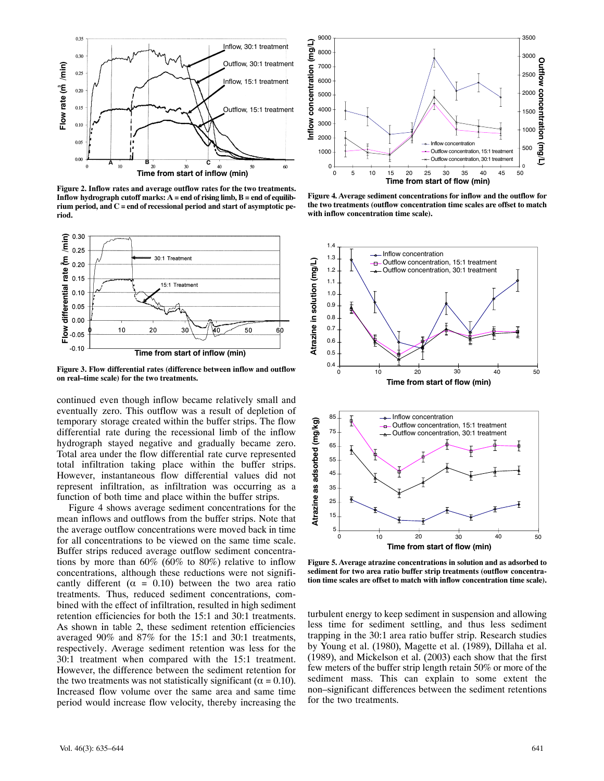

**Figure 2. Inflow rates and average outflow rates for the two treatments. Inflow hydrograph cutoff marks: A = end of rising limb, B = end of equilibrium period, and C = end of recessional period and start of asymptotic period.**



**Figure 3. Flow differential rates (difference between inflow and outflow on real–time scale) for the two treatments.**

continued even though inflow became relatively small and eventually zero. This outflow was a result of depletion of temporary storage created within the buffer strips. The flow differential rate during the recessional limb of the inflow hydrograph stayed negative and gradually became zero. Total area under the flow differential rate curve represented total infiltration taking place within the buffer strips. However, instantaneous flow differential values did not represent infiltration, as infiltration was occurring as a function of both time and place within the buffer strips.

Figure 4 shows average sediment concentrations for the mean inflows and outflows from the buffer strips. Note that the average outflow concentrations were moved back in time for all concentrations to be viewed on the same time scale. Buffer strips reduced average outflow sediment concentrations by more than 60% (60% to 80%) relative to inflow concentrations, although these reductions were not significantly different ( $\alpha = 0.10$ ) between the two area ratio treatments. Thus, reduced sediment concentrations, combined with the effect of infiltration, resulted in high sediment retention efficiencies for both the 15:1 and 30:1 treatments. As shown in table 2, these sediment retention efficiencies averaged 90% and 87% for the 15:1 and 30:1 treatments, respectively. Average sediment retention was less for the 30:1 treatment when compared with the 15:1 treatment. However, the difference between the sediment retention for the two treatments was not statistically significant ( $\alpha = 0.10$ ). Increased flow volume over the same area and same time period would increase flow velocity, thereby increasing the



**Figure 4. Average sediment concentrations for inflow and the outflow for the two treatments (outflow concentration time scales are offset to match with inflow concentration time scale).**





**Figure 5. Average atrazine concentrations in solution and as adsorbed to sediment for two area ratio buffer strip treatments (outflow concentration time scales are offset to match with inflow concentration time scale).**

turbulent energy to keep sediment in suspension and allowing less time for sediment settling, and thus less sediment trapping in the 30:1 area ratio buffer strip. Research studies by Young et al. (1980), Magette et al. (1989), Dillaha et al. (1989), and Mickelson et al. (2003) each show that the first few meters of the buffer strip length retain 50% or more of the sediment mass. This can explain to some extent the non–significant differences between the sediment retentions for the two treatments.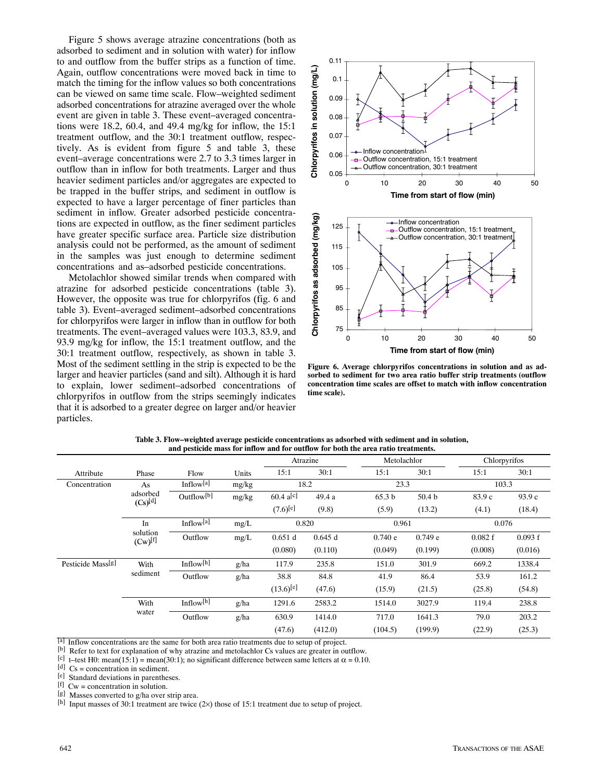Figure 5 shows average atrazine concentrations (both as adsorbed to sediment and in solution with water) for inflow to and outflow from the buffer strips as a function of time. Again, outflow concentrations were moved back in time to match the timing for the inflow values so both concentrations can be viewed on same time scale. Flow–weighted sediment adsorbed concentrations for atrazine averaged over the whole event are given in table 3. These event–averaged concentrations were 18.2, 60.4, and 49.4 mg/kg for inflow, the 15:1 treatment outflow, and the 30:1 treatment outflow, respectively. As is evident from figure 5 and table 3, these event–average concentrations were 2.7 to 3.3 times larger in outflow than in inflow for both treatments. Larger and thus heavier sediment particles and/or aggregates are expected to be trapped in the buffer strips, and sediment in outflow is expected to have a larger percentage of finer particles than sediment in inflow. Greater adsorbed pesticide concentrations are expected in outflow, as the finer sediment particles have greater specific surface area. Particle size distribution analysis could not be performed, as the amount of sediment in the samples was just enough to determine sediment concentrations and as–adsorbed pesticide concentrations.

Metolachlor showed similar trends when compared with atrazine for adsorbed pesticide concentrations (table 3). However, the opposite was true for chlorpyrifos (fig. 6 and table 3). Event–averaged sediment–adsorbed concentrations for chlorpyrifos were larger in inflow than in outflow for both treatments. The event–averaged values were 103.3, 83.9, and 93.9 mg/kg for inflow, the 15:1 treatment outflow, and the 30:1 treatment outflow, respectively, as shown in table 3. Most of the sediment settling in the strip is expected to be the larger and heavier particles (sand and silt). Although it is hard to explain, lower sediment–adsorbed concentrations of chlorpyrifos in outflow from the strips seemingly indicates that it is adsorbed to a greater degree on larger and/or heavier particles.



**Figure 6. Average chlorpyrifos concentrations in solution and as adsorbed to sediment for two area ratio buffer strip treatments (outflow concentration time scales are offset to match with inflow concentration time scale).**

|                               |                                |                        |       | Atrazine               |         | Metolachlor       |                   | Chlorpyrifos |         |
|-------------------------------|--------------------------------|------------------------|-------|------------------------|---------|-------------------|-------------------|--------------|---------|
| Attribute                     | Phase                          | Flow                   | Units | 15:1                   | 30:1    | 15:1              | 30:1              | 15:1         | 30:1    |
| Concentration                 | As<br>adsorbed<br>$(Cs)^{[d]}$ | Inflow $^{[a]}$        | mg/kg | 18.2                   |         | 23.3              |                   | 103.3        |         |
|                               |                                | Outflow <sup>[b]</sup> | mg/kg | $60.4 \text{ a}^{[c]}$ | 49.4 a  | 65.3 <sub>b</sub> | 50.4 <sub>b</sub> | 83.9 c       | 93.9 c  |
|                               |                                |                        |       | $(7.6)$ <sup>[e]</sup> | (9.8)   | (5.9)             | (13.2)            | (4.1)        | (18.4)  |
|                               | In                             | Inflow <sup>[a]</sup>  | mg/L  | 0.820                  |         | 0.961             |                   | 0.076        |         |
|                               | solution<br>$(Cw)^{[f]}$       | Outflow                | mg/L  | 0.651 d                | 0.645 d | 0.740 e           | 0.749 e           | 0.082 f      | 0.093 f |
|                               |                                |                        |       | (0.080)                | (0.110) | (0.049)           | (0.199)           | (0.008)      | (0.016) |
| Pesticide Mass <sup>[g]</sup> | With<br>sediment               | Inflow $[h]$           | g/ha  | 117.9                  | 235.8   | 151.0             | 301.9             | 669.2        | 1338.4  |
|                               |                                | Outflow                | g/ha  | 38.8                   | 84.8    | 41.9              | 86.4              | 53.9         | 161.2   |
|                               |                                |                        |       | $(13.6)^{[e]}$         | (47.6)  | (15.9)            | (21.5)            | (25.8)       | (54.8)  |
|                               | With<br>water                  | Inflow $[h]$           | g/ha  | 1291.6                 | 2583.2  | 1514.0            | 3027.9            | 119.4        | 238.8   |
|                               |                                | Outflow                | g/ha  | 630.9                  | 1414.0  | 717.0             | 1641.3            | 79.0         | 203.2   |
|                               |                                |                        |       | (47.6)                 | (412.0) | (104.5)           | (199.9)           | (22.9)       | (25.3)  |

**Table 3. Flow–weighted average pesticide concentrations as adsorbed with sediment and in solution, and pesticide mass for inflow and for outflow for both the area ratio treatments.**

[a] Inflow concentrations are the same for both area ratio treatments due to setup of project.

[b] Refer to text for explanation of why atrazine and metolachlor Cs values are greater in outflow.

[c] t-test H0: mean(15:1) = mean(30:1); no significant difference between same letters at  $\alpha$  = 0.10.

[d]  $Cs = concentration in sediment.$ 

[e] Standard deviations in parentheses.

[f] Cw = concentration in solution.

[g] Masses converted to g/ha over strip area.

[h] Input masses of 30:1 treatment are twice (2×) those of 15:1 treatment due to setup of project.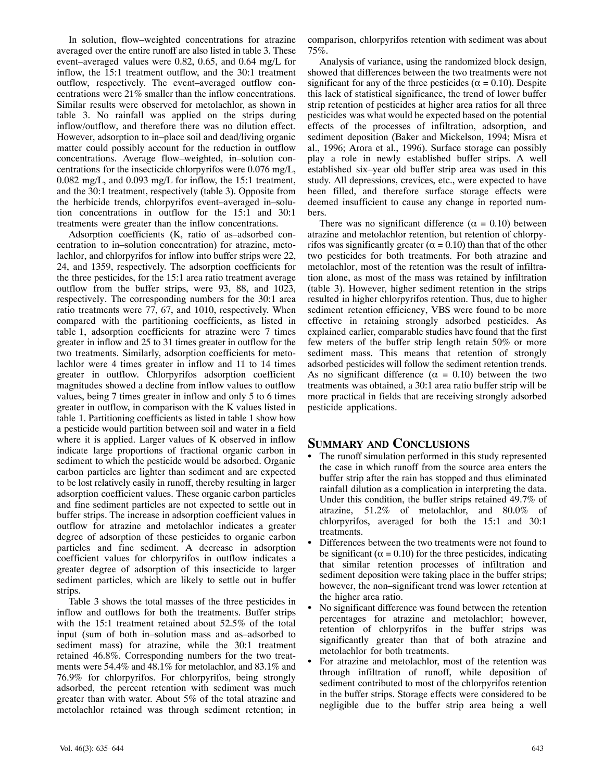In solution, flow–weighted concentrations for atrazine averaged over the entire runoff are also listed in table 3. These event–averaged values were 0.82, 0.65, and 0.64 mg/L for inflow, the 15:1 treatment outflow, and the 30:1 treatment outflow, respectively. The event–averaged outflow concentrations were 21% smaller than the inflow concentrations. Similar results were observed for metolachlor, as shown in table 3. No rainfall was applied on the strips during inflow/outflow, and therefore there was no dilution effect. However, adsorption to in–place soil and dead/living organic matter could possibly account for the reduction in outflow concentrations. Average flow–weighted, in–solution concentrations for the insecticide chlorpyrifos were 0.076 mg/L, 0.082 mg/L, and 0.093 mg/L for inflow, the 15:1 treatment, and the 30:1 treatment, respectively (table 3). Opposite from the herbicide trends, chlorpyrifos event–averaged in–solution concentrations in outflow for the 15:1 and 30:1 treatments were greater than the inflow concentrations.

Adsorption coefficients (K, ratio of as–adsorbed concentration to in–solution concentration) for atrazine, metolachlor, and chlorpyrifos for inflow into buffer strips were 22, 24, and 1359, respectively. The adsorption coefficients for the three pesticides, for the 15:1 area ratio treatment average outflow from the buffer strips, were 93, 88, and 1023, respectively. The corresponding numbers for the 30:1 area ratio treatments were 77, 67, and 1010, respectively. When compared with the partitioning coefficients, as listed in table 1, adsorption coefficients for atrazine were 7 times greater in inflow and 25 to 31 times greater in outflow for the two treatments. Similarly, adsorption coefficients for metolachlor were 4 times greater in inflow and 11 to 14 times greater in outflow. Chlorpyrifos adsorption coefficient magnitudes showed a decline from inflow values to outflow values, being 7 times greater in inflow and only 5 to 6 times greater in outflow, in comparison with the K values listed in table 1. Partitioning coefficients as listed in table 1 show how a pesticide would partition between soil and water in a field where it is applied. Larger values of K observed in inflow indicate large proportions of fractional organic carbon in sediment to which the pesticide would be adsorbed. Organic carbon particles are lighter than sediment and are expected to be lost relatively easily in runoff, thereby resulting in larger adsorption coefficient values. These organic carbon particles and fine sediment particles are not expected to settle out in buffer strips. The increase in adsorption coefficient values in outflow for atrazine and metolachlor indicates a greater degree of adsorption of these pesticides to organic carbon particles and fine sediment. A decrease in adsorption coefficient values for chlorpyrifos in outflow indicates a greater degree of adsorption of this insecticide to larger sediment particles, which are likely to settle out in buffer strips.

Table 3 shows the total masses of the three pesticides in inflow and outflows for both the treatments. Buffer strips with the 15:1 treatment retained about 52.5% of the total input (sum of both in–solution mass and as–adsorbed to sediment mass) for atrazine, while the 30:1 treatment retained 46.8%. Corresponding numbers for the two treatments were 54.4% and 48.1% for metolachlor, and 83.1% and 76.9% for chlorpyrifos. For chlorpyrifos, being strongly adsorbed, the percent retention with sediment was much greater than with water. About 5% of the total atrazine and metolachlor retained was through sediment retention; in comparison, chlorpyrifos retention with sediment was about 75%.

Analysis of variance, using the randomized block design, showed that differences between the two treatments were not significant for any of the three pesticides ( $\alpha = 0.10$ ). Despite this lack of statistical significance, the trend of lower buffer strip retention of pesticides at higher area ratios for all three pesticides was what would be expected based on the potential effects of the processes of infiltration, adsorption, and sediment deposition (Baker and Mickelson, 1994; Misra et al., 1996; Arora et al., 1996). Surface storage can possibly play a role in newly established buffer strips. A well established six–year old buffer strip area was used in this study. All depressions, crevices, etc., were expected to have been filled, and therefore surface storage effects were deemed insufficient to cause any change in reported numbers.

There was no significant difference ( $\alpha = 0.10$ ) between atrazine and metolachlor retention, but retention of chlorpyrifos was significantly greater ( $\alpha$  = 0.10) than that of the other two pesticides for both treatments. For both atrazine and metolachlor, most of the retention was the result of infiltration alone, as most of the mass was retained by infiltration (table 3). However, higher sediment retention in the strips resulted in higher chlorpyrifos retention. Thus, due to higher sediment retention efficiency, VBS were found to be more effective in retaining strongly adsorbed pesticides. As explained earlier, comparable studies have found that the first few meters of the buffer strip length retain 50% or more sediment mass. This means that retention of strongly adsorbed pesticides will follow the sediment retention trends. As no significant difference ( $\alpha = 0.10$ ) between the two treatments was obtained, a 30:1 area ratio buffer strip will be more practical in fields that are receiving strongly adsorbed pesticide applications.

## **SUMMARY AND CONCLUSIONS**

- - The runoff simulation performed in this study represented the case in which runoff from the source area enters the buffer strip after the rain has stopped and thus eliminated rainfall dilution as a complication in interpreting the data. Under this condition, the buffer strips retained 49.7% of atrazine, 51.2% of metolachlor, and 80.0% of chlorpyrifos, averaged for both the 15:1 and 30:1 treatments.
- - Differences between the two treatments were not found to be significant ( $\alpha = 0.10$ ) for the three pesticides, indicating that similar retention processes of infiltration and sediment deposition were taking place in the buffer strips; however, the non–significant trend was lower retention at the higher area ratio.
- - No significant difference was found between the retention percentages for atrazine and metolachlor; however, retention of chlorpyrifos in the buffer strips was significantly greater than that of both atrazine and metolachlor for both treatments.
- - For atrazine and metolachlor, most of the retention was through infiltration of runoff, while deposition of sediment contributed to most of the chlorpyrifos retention in the buffer strips. Storage effects were considered to be negligible due to the buffer strip area being a well